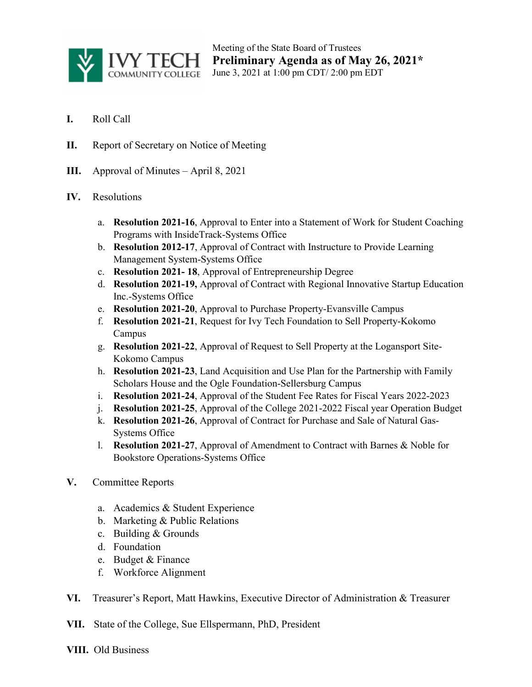

Meeting of the State Board of Trustees **Preliminary Agenda as of May 26, 2021\*** June 3, 2021 at 1:00 pm CDT/ 2:00 pm EDT

- **I.** Roll Call
- **II.** Report of Secretary on Notice of Meeting
- **III.** Approval of Minutes April 8, 2021

## **IV.** Resolutions

- a. **Resolution 2021-16**, Approval to Enter into a Statement of Work for Student Coaching Programs with InsideTrack-Systems Office
- b. **Resolution 2012-17**, Approval of Contract with Instructure to Provide Learning Management System-Systems Office
- c. **Resolution 2021- 18**, Approval of Entrepreneurship Degree
- d. **Resolution 2021-19,** Approval of Contract with Regional Innovative Startup Education Inc.-Systems Office
- e. **Resolution 2021-20**, Approval to Purchase Property-Evansville Campus
- f. **Resolution 2021-21**, Request for Ivy Tech Foundation to Sell Property-Kokomo Campus
- g. **Resolution 2021-22**, Approval of Request to Sell Property at the Logansport Site-Kokomo Campus
- h. **Resolution 2021-23**, Land Acquisition and Use Plan for the Partnership with Family Scholars House and the Ogle Foundation-Sellersburg Campus
- i. **Resolution 2021-24**, Approval of the Student Fee Rates for Fiscal Years 2022-2023
- j. **Resolution 2021-25**, Approval of the College 2021-2022 Fiscal year Operation Budget
- k. **Resolution 2021-26**, Approval of Contract for Purchase and Sale of Natural Gas-Systems Office
- l. **Resolution 2021-27**, Approval of Amendment to Contract with Barnes & Noble for Bookstore Operations-Systems Office
- **V.** Committee Reports
	- a. Academics & Student Experience
	- b. Marketing & Public Relations
	- c. Building & Grounds
	- d. Foundation
	- e. Budget & Finance
	- f. Workforce Alignment
- **VI.** Treasurer's Report, Matt Hawkins, Executive Director of Administration & Treasurer

**VII.** State of the College, Sue Ellspermann, PhD, President

**VIII.** Old Business